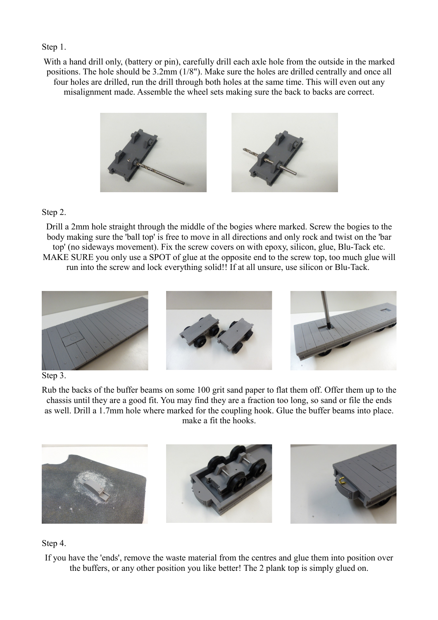## Step 1.

With a hand drill only, (battery or pin), carefully drill each axle hole from the outside in the marked positions. The hole should be 3.2mm (1/8"). Make sure the holes are drilled centrally and once all four holes are drilled, run the drill through both holes at the same time. This will even out any misalignment made. Assemble the wheel sets making sure the back to backs are correct.



## Step 2.

Drill a 2mm hole straight through the middle of the bogies where marked. Screw the bogies to the body making sure the 'ball top' is free to move in all directions and only rock and twist on the 'bar top' (no sideways movement). Fix the screw covers on with epoxy, silicon, glue, Blu-Tack etc. MAKE SURE you only use a SPOT of glue at the opposite end to the screw top, too much glue will run into the screw and lock everything solid!! If at all unsure, use silicon or Blu-Tack.



## Step 3.

Rub the backs of the buffer beams on some 100 grit sand paper to flat them off. Offer them up to the chassis until they are a good fit. You may find they are a fraction too long, so sand or file the ends as well. Drill a 1.7mm hole where marked for the coupling hook. Glue the buffer beams into place. make a fit the hooks.



## Step 4.

If you have the 'ends', remove the waste material from the centres and glue them into position over the buffers, or any other position you like better! The 2 plank top is simply glued on.